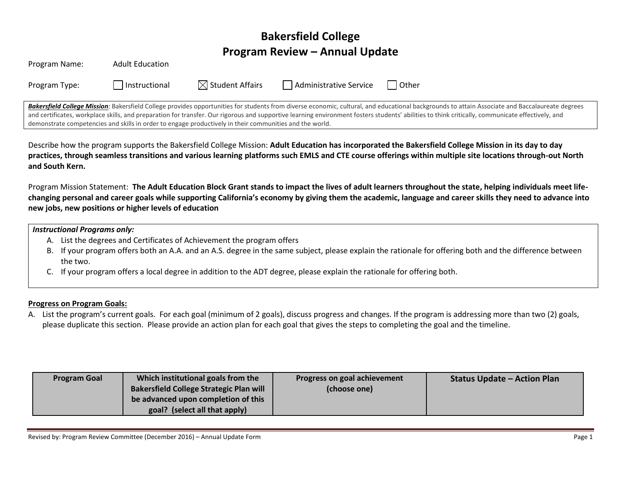# **Bakersfield College Program Review – Annual Update**

|               |                        |                             |                        | Bakersfield College Mission: Bakersfield College provides opportunities for students from diverse economic, cultural, and educational backgrounds to attain Associa |
|---------------|------------------------|-----------------------------|------------------------|---------------------------------------------------------------------------------------------------------------------------------------------------------------------|
| Program Type: | Instructional          | $\boxtimes$ Student Affairs | Administrative Service | l Other                                                                                                                                                             |
| Program Name: | <b>Adult Education</b> |                             |                        |                                                                                                                                                                     |

ate and Baccalaureate degrees **deucate** and Baccalaureate degrees and certificates, workplace skills, and preparation for transfer. Our rigorous and supportive learning environment fosters students' abilities to think critically, communicate effectively, and demonstrate competencies and skills in order to engage productively in their communities and the world.

Describe how the program supports the Bakersfield College Mission: **Adult Education has incorporated the Bakersfield College Mission in its day to day practices, through seamless transitions and various learning platforms such EMLS and CTE course offerings within multiple site locations through-out North and South Kern.**

Program Mission Statement: **The Adult Education Block Grant stands to impact the lives of adult learners throughout the state, helping individuals meet lifechanging personal and career goals while supporting California's economy by giving them the academic, language and career skills they need to advance into new jobs, new positions or higher levels of education**

#### *Instructional Programs only:*

- A. List the degrees and Certificates of Achievement the program offers
- B. If your program offers both an A.A. and an A.S. degree in the same subject, please explain the rationale for offering both and the difference between the two.
- C. If your program offers a local degree in addition to the ADT degree, please explain the rationale for offering both.

#### **Progress on Program Goals:**

A. List the program's current goals. For each goal (minimum of 2 goals), discuss progress and changes. If the program is addressing more than two (2) goals, please duplicate this section. Please provide an action plan for each goal that gives the steps to completing the goal and the timeline.

| <b>Program Goal</b> | Which institutional goals from the             | Progress on goal achievement | <b>Status Update - Action Plan</b> |
|---------------------|------------------------------------------------|------------------------------|------------------------------------|
|                     | <b>Bakersfield College Strategic Plan will</b> | (choose one)                 |                                    |
|                     | be advanced upon completion of this            |                              |                                    |
|                     | goal? (select all that apply)                  |                              |                                    |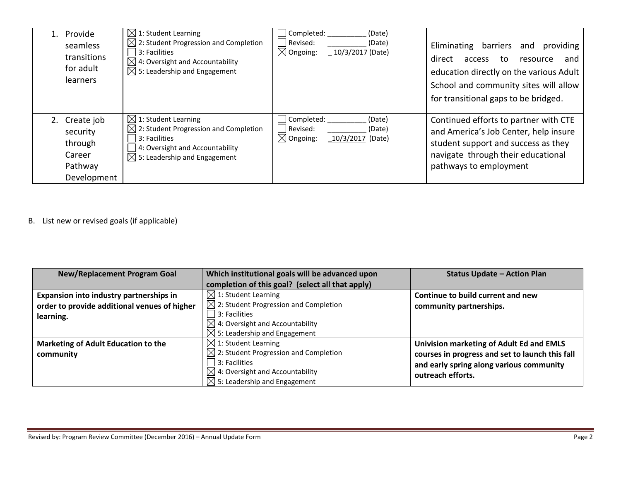| Provide<br>seamless<br>transitions<br>for adult<br><b>learners</b>       | $\boxtimes$ 1: Student Learning<br>$\boxtimes$ 2: Student Progression and Completion<br>3: Facilities<br>$\boxtimes$ 4: Oversight and Accountability<br>$\boxtimes$ 5: Leadership and Engagement | Completed:<br>(Date)<br>Revised:<br>(Date)<br>$\boxtimes$ Ongoing:<br>10/3/2017 (Date) | barriers<br>Eliminating<br>providing<br>and<br>direct<br>and<br>access<br>to.<br>resource<br>education directly on the various Adult<br>School and community sites will allow<br>for transitional gaps to be bridged. |
|--------------------------------------------------------------------------|--------------------------------------------------------------------------------------------------------------------------------------------------------------------------------------------------|----------------------------------------------------------------------------------------|-----------------------------------------------------------------------------------------------------------------------------------------------------------------------------------------------------------------------|
| 2. Create job<br>security<br>through<br>Career<br>Pathway<br>Development | $\boxtimes$ 1: Student Learning<br>$\boxtimes$ 2: Student Progression and Completion<br>3: Facilities<br>4: Oversight and Accountability<br>$\boxtimes$ 5: Leadership and Engagement             | Completed:<br>(Date)<br>Revised:<br>(Date)<br>$\boxtimes$ Ongoing:<br>10/3/2017 (Date) | Continued efforts to partner with CTE<br>and America's Job Center, help insure<br>student support and success as they<br>navigate through their educational<br>pathways to employment                                 |

B. List new or revised goals (if applicable)

| <b>New/Replacement Program Goal</b>          | Which institutional goals will be advanced upon   | <b>Status Update - Action Plan</b>              |
|----------------------------------------------|---------------------------------------------------|-------------------------------------------------|
|                                              | completion of this goal? (select all that apply)  |                                                 |
| Expansion into industry partnerships in      | $\boxtimes$ 1: Student Learning                   | Continue to build current and new               |
| order to provide additional venues of higher | $\boxtimes$ 2: Student Progression and Completion | community partnerships.                         |
| learning.                                    | 3: Facilities                                     |                                                 |
|                                              | $\boxtimes$ 4: Oversight and Accountability       |                                                 |
|                                              | $\boxtimes$ 5: Leadership and Engagement          |                                                 |
| <b>Marketing of Adult Education to the</b>   | $\boxtimes$ 1: Student Learning                   | Univision marketing of Adult Ed and EMLS        |
| community                                    | $\boxtimes$ 2: Student Progression and Completion | courses in progress and set to launch this fall |
|                                              | 3: Facilities                                     | and early spring along various community        |
|                                              | $\boxtimes$ 4: Oversight and Accountability       | outreach efforts.                               |
|                                              | $\boxtimes$ 5: Leadership and Engagement          |                                                 |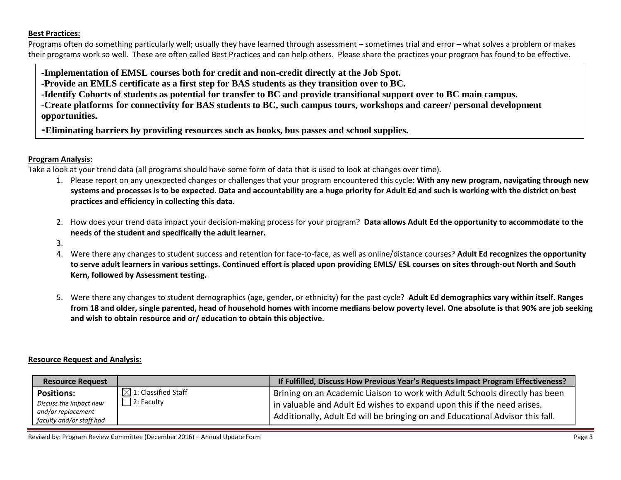#### **Best Practices:**

Programs often do something particularly well; usually they have learned through assessment – sometimes trial and error – what solves a problem or makes their programs work so well. These are often called Best Practices and can help others. Please share the practices your program has found to be effective.

**-Implementation of EMSL courses both for credit and non-credit directly at the Job Spot.**

**-Provide an EMLS certificate as a first step for BAS students as they transition over to BC.**

**-Identify Cohorts of students as potential for transfer to BC and provide transitional support over to BC main campus.**

**-Create platforms for connectivity for BAS students to BC, such campus tours, workshops and career/ personal development opportunities.**

**-Eliminating barriers by providing resources such as books, bus passes and school supplies.**

## **Program Analysis**:

Take a look at your trend data (all programs should have some form of data that is used to look at changes over time).

- 1. Please report on any unexpected changes or challenges that your program encountered this cycle: **With any new program, navigating through new systems and processes is to be expected. Data and accountability are a huge priority for Adult Ed and such is working with the district on best practices and efficiency in collecting this data.**
- 2. How does your trend data impact your decision-making process for your program? **Data allows Adult Ed the opportunity to accommodate to the needs of the student and specifically the adult learner.**
- 3.
- 4. Were there any changes to student success and retention for face-to-face, as well as online/distance courses? **Adult Ed recognizes the opportunity to serve adult learners in various settings. Continued effort is placed upon providing EMLS/ ESL courses on sites through-out North and South Kern, followed by Assessment testing.**
- 5. Were there any changes to student demographics (age, gender, or ethnicity) for the past cycle? **Adult Ed demographics vary within itself. Ranges from 18 and older, single parented, head of household homes with income medians below poverty level. One absolute is that 90% are job seeking and wish to obtain resource and or/ education to obtain this objective.**

## **Resource Request and Analysis:**

| <b>Resource Request</b>                                                                       |                                                  | If Fulfilled, Discuss How Previous Year's Requests Impact Program Effectiveness?                                                                                                                                                                     |
|-----------------------------------------------------------------------------------------------|--------------------------------------------------|------------------------------------------------------------------------------------------------------------------------------------------------------------------------------------------------------------------------------------------------------|
| <b>Positions:</b><br>Discuss the impact new<br>and/or replacement<br>faculty and/or staff had | $\boxtimes$ 1: Classified Staff<br>$ 2:$ Faculty | <sup>1</sup> Brining on an Academic Liaison to work with Adult Schools directly has been<br>in valuable and Adult Ed wishes to expand upon this if the need arises.<br>Additionally, Adult Ed will be bringing on and Educational Advisor this fall. |

Revised by: Program Review Committee (December 2016) – Annual Update Form **Page 3** and Page 3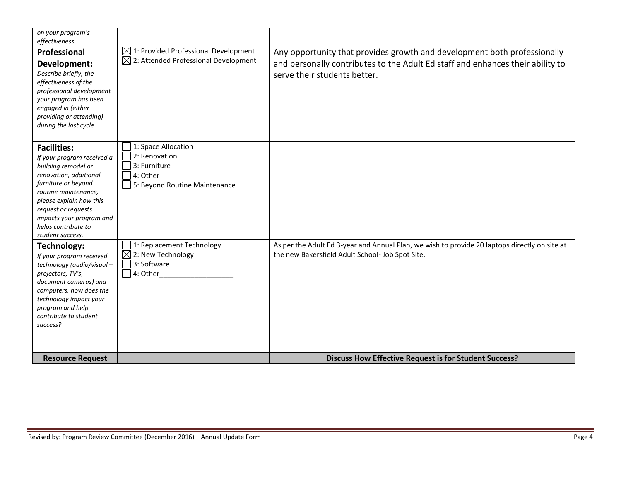| on your program's<br>effectiveness.                                                                                                                                                                                                                                       |                                                                                                      |                                                                                                                                                                                            |
|---------------------------------------------------------------------------------------------------------------------------------------------------------------------------------------------------------------------------------------------------------------------------|------------------------------------------------------------------------------------------------------|--------------------------------------------------------------------------------------------------------------------------------------------------------------------------------------------|
| Professional<br>Development:<br>Describe briefly, the<br>effectiveness of the<br>professional development<br>your program has been<br>engaged in (either<br>providing or attending)<br>during the last cycle                                                              | $\boxtimes$ 1: Provided Professional Development<br>$\boxtimes$ 2: Attended Professional Development | Any opportunity that provides growth and development both professionally<br>and personally contributes to the Adult Ed staff and enhances their ability to<br>serve their students better. |
| <b>Facilities:</b><br>If your program received a<br>building remodel or<br>renovation, additional<br>furniture or beyond<br>routine maintenance,<br>please explain how this<br>request or requests<br>impacts your program and<br>helps contribute to<br>student success. | 1: Space Allocation<br>2: Renovation<br>3: Furniture<br>4: Other<br>5: Beyond Routine Maintenance    |                                                                                                                                                                                            |
| Technology:<br>If your program received<br>technology (audio/visual-<br>projectors, TV's,<br>document cameras) and<br>computers, how does the<br>technology impact your<br>program and help<br>contribute to student<br>success?                                          | 1: Replacement Technology<br>$\boxtimes$ 2: New Technology<br>3: Software<br>$\lceil$ 4: Other       | As per the Adult Ed 3-year and Annual Plan, we wish to provide 20 laptops directly on site at<br>the new Bakersfield Adult School- Job Spot Site.                                          |
| <b>Resource Request</b>                                                                                                                                                                                                                                                   |                                                                                                      | <b>Discuss How Effective Request is for Student Success?</b>                                                                                                                               |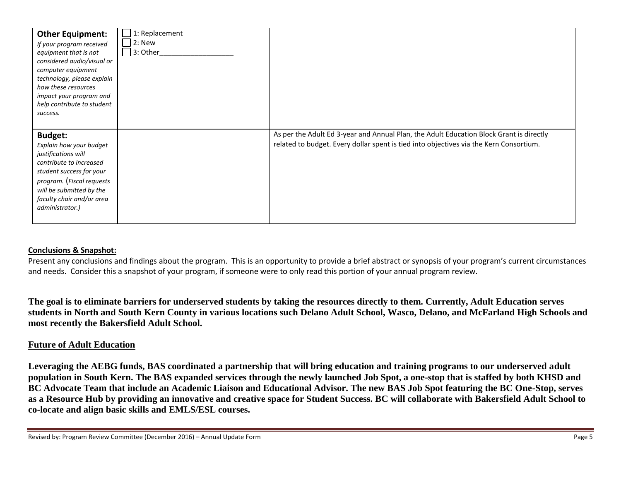| <b>Other Equipment:</b><br>If your program received<br>equipment that is not<br>considered audio/visual or<br>computer equipment<br>technology, please explain<br>how these resources<br>impact your program and<br>help contribute to student<br>success. | 1: Replacement<br>$ 2:$ New<br>$\Box$ 3: Other |                                                                                                                                                                                   |
|------------------------------------------------------------------------------------------------------------------------------------------------------------------------------------------------------------------------------------------------------------|------------------------------------------------|-----------------------------------------------------------------------------------------------------------------------------------------------------------------------------------|
| <b>Budget:</b><br>Explain how your budget<br>justifications will<br>contribute to increased<br>student success for your<br>program. (Fiscal requests<br>will be submitted by the<br>faculty chair and/or area<br>administrator.)                           |                                                | As per the Adult Ed 3-year and Annual Plan, the Adult Education Block Grant is directly<br>related to budget. Every dollar spent is tied into objectives via the Kern Consortium. |

#### **Conclusions & Snapshot:**

Present any conclusions and findings about the program. This is an opportunity to provide a brief abstract or synopsis of your program's current circumstances and needs. Consider this a snapshot of your program, if someone were to only read this portion of your annual program review.

**The goal is to eliminate barriers for underserved students by taking the resources directly to them. Currently, Adult Education serves students in North and South Kern County in various locations such Delano Adult School, Wasco, Delano, and McFarland High Schools and most recently the Bakersfield Adult School.**

## **Future of Adult Education**

**Leveraging the AEBG funds, BAS coordinated a partnership that will bring education and training programs to our underserved adult population in South Kern. The BAS expanded services through the newly launched Job Spot, a one-stop that is staffed by both KHSD and BC Advocate Team that include an Academic Liaison and Educational Advisor. The new BAS Job Spot featuring the BC One-Stop, serves as a Resource Hub by providing an innovative and creative space for Student Success. BC will collaborate with Bakersfield Adult School to co-locate and align basic skills and EMLS/ESL courses.**